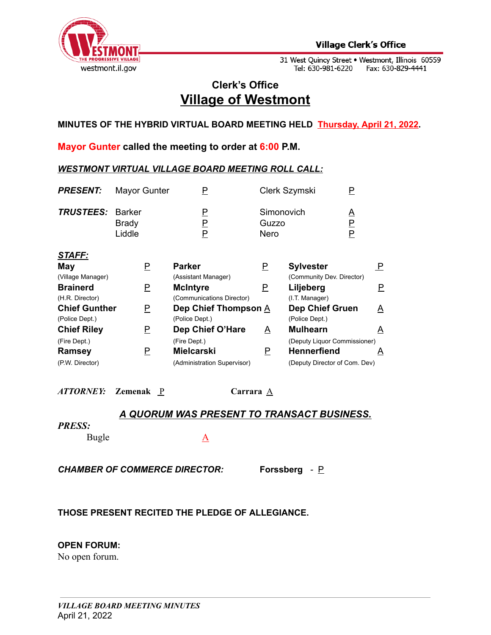

# **Clerk's Office Village of Westmont**

**MINUTES OF THE HYBRID VIRTUAL BOARD MEETING HELD Thursday, April 21, 2022.**

**Mayor Gunter called the meeting to order at 6:00 P.M.**

#### *WESTMONT VIRTUAL VILLAGE BOARD MEETING ROLL CALL:*

|                                  | Ρ                           |                         |                      | P                                    |                                                                                                                      |
|----------------------------------|-----------------------------|-------------------------|----------------------|--------------------------------------|----------------------------------------------------------------------------------------------------------------------|
| <b>Barker</b><br>Brady<br>Liddle | Е<br><u>P</u><br>P          | Nero                    |                      | <u>A</u><br>$\overline{P}$<br>P      |                                                                                                                      |
|                                  |                             |                         |                      |                                      |                                                                                                                      |
| P                                | <b>Parker</b>               | P                       | <b>Sylvester</b>     |                                      | 모                                                                                                                    |
|                                  | (Assistant Manager)         |                         |                      |                                      |                                                                                                                      |
| <u>P</u>                         | <b>McIntyre</b>             | $\overline{\mathsf{P}}$ | Liljeberg            |                                      | P.                                                                                                                   |
|                                  | (Communications Director)   |                         | (I.T. Manager)       |                                      |                                                                                                                      |
| <b>Chief Gunther</b><br>P        |                             |                         |                      |                                      | A                                                                                                                    |
|                                  | (Police Dept.)              |                         | (Police Dept.)       |                                      |                                                                                                                      |
| P                                | Dep Chief O'Hare            | $\overline{\mathsf{A}}$ | <b>Mulhearn</b>      |                                      | A                                                                                                                    |
|                                  | (Fire Dept.)                |                         |                      |                                      |                                                                                                                      |
| P                                | <b>Mielcarski</b>           | P                       | <b>Hennerfiend</b>   |                                      | $\Delta$                                                                                                             |
|                                  | (Administration Supervisor) |                         |                      |                                      |                                                                                                                      |
|                                  |                             | Mayor Gunter            | Dep Chief Thompson A | Clerk Szymski<br>Simonovich<br>Guzzo | (Community Dev. Director)<br><b>Dep Chief Gruen</b><br>(Deputy Liquor Commissioner)<br>(Deputy Director of Com. Dev) |

*ATTORNEY:* **Zemenak** P **Carrara** A

### *A QUORUM WAS PRESENT TO TRANSACT BUSINESS.*

#### *PRESS:*

Bugle A

*CHAMBER OF COMMERCE DIRECTOR:* **Forssberg** *-* P

### **THOSE PRESENT RECITED THE PLEDGE OF ALLEGIANCE.**

### **OPEN FORUM:**

No open forum.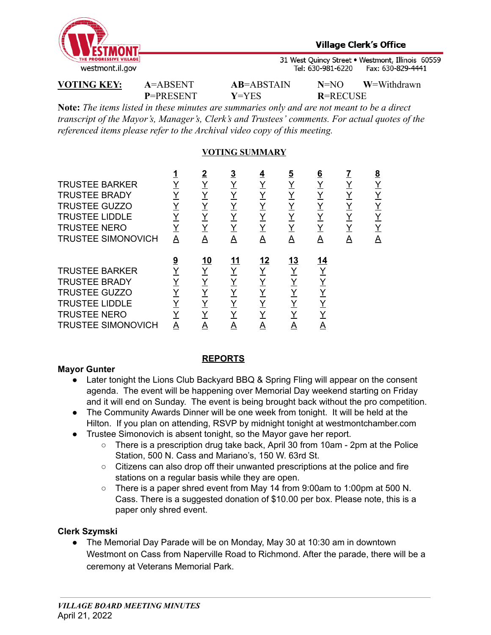

**P**=PRESENT **Y**=YES **R**=RECUSE

**VOTING KEY: A**=ABSENT **AB**=ABSTAIN **N**=NO **W**=Withdrawn

**Note:** *The items listed in these minutes are summaries only and are not meant to be a direct transcript of the Mayor's, Manager's, Clerk's and Trustees' comments. For actual quotes of the referenced items please refer to the Archival video copy of this meeting.*

# **VOTING SUMMARY**

| <b>TRUSTEE BARKER</b><br><b>TRUSTEE BRADY</b><br><b>TRUSTEE GUZZO</b><br><b>TRUSTEE LIDDLE</b><br><b>TRUSTEE NERO</b><br><b>TRUSTEE SIMONOVICH</b> | Α             | 2<br>Y<br>Y<br>Y<br>Y<br>Y<br>Α | <u>3</u><br><u>Y</u><br><u>Y</u><br><u>Y</u><br>Y<br>Y<br>Α | <u>4</u><br><u>Y</u><br>Υ<br>Y<br>Y<br>Y<br>A | $\overline{5}$<br><u>Y</u><br><u>Y</u><br><u>Y</u><br>Y<br>Y<br>A | <u>6</u><br><u>Y</u><br><u>Y</u><br><u>Y</u><br><u>Y</u><br>Y<br><u>A</u> | Y<br>Y<br>Y<br>Y<br>Y<br>Α | <u>8</u><br><u>Y</u><br>Y<br>Y<br><u>Y</u><br>Υ<br>A |
|----------------------------------------------------------------------------------------------------------------------------------------------------|---------------|---------------------------------|-------------------------------------------------------------|-----------------------------------------------|-------------------------------------------------------------------|---------------------------------------------------------------------------|----------------------------|------------------------------------------------------|
| <b>TRUSTEE BARKER</b><br><b>TRUSTEE BRADY</b><br><b>TRUSTEE GUZZO</b><br><b>TRUSTEE LIDDLE</b><br><b>TRUSTEE NERO</b><br><b>TRUSTEE SIMONOVICH</b> | <u>9</u><br>A | <u>10</u><br>Υ<br>Υ<br>Y<br>Y   | 11<br>Υ<br>Υ<br>Y<br>Y<br>Y<br>A                            | <u>12</u><br>Y<br>Y<br>Y                      | <u>13</u><br><u>Y</u><br><u>Y</u><br><u>Y</u><br>Υ<br>Y<br>A      | 14<br>Y<br>Y<br>Y<br>Y<br>A                                               |                            |                                                      |

### **Mayor Gunter**

# **REPORTS**

- Later tonight the Lions Club Backyard BBQ & Spring Fling will appear on the consent agenda. The event will be happening over Memorial Day weekend starting on Friday and it will end on Sunday. The event is being brought back without the pro competition.
- The Community Awards Dinner will be one week from tonight. It will be held at the Hilton. If you plan on attending, RSVP by midnight tonight at westmontchamber.com
- Trustee Simonovich is absent tonight, so the Mayor gave her report.
	- $\circ$  There is a prescription drug take back, April 30 from 10am 2pm at the Police Station, 500 N. Cass and Mariano's, 150 W. 63rd St.
	- Citizens can also drop off their unwanted prescriptions at the police and fire stations on a regular basis while they are open.
	- There is a paper shred event from May 14 from 9:00am to 1:00pm at 500 N. Cass. There is a suggested donation of \$10.00 per box. Please note, this is a paper only shred event.

# **Clerk Szymski**

● The Memorial Day Parade will be on Monday, May 30 at 10:30 am in downtown Westmont on Cass from Naperville Road to Richmond. After the parade, there will be a ceremony at Veterans Memorial Park.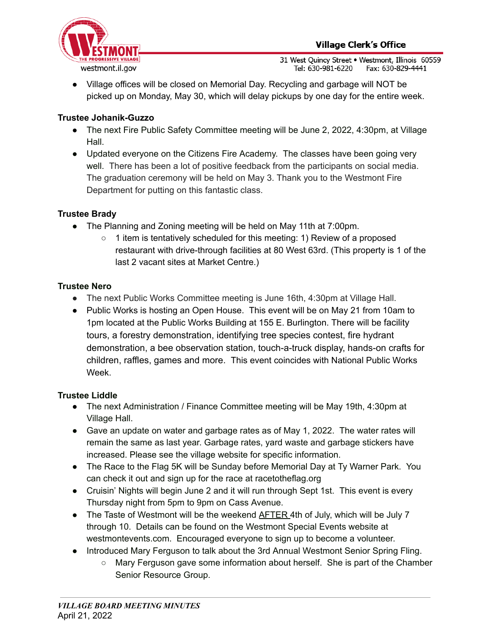● Village offices will be closed on Memorial Day. Recycling and garbage will NOT be picked up on Monday, May 30, which will delay pickups by one day for the entire week.

# **Trustee Johanik-Guzzo**

- The next Fire Public Safety Committee meeting will be June 2, 2022, 4:30pm, at Village Hall.
- Updated everyone on the Citizens Fire Academy. The classes have been going very well. There has been a lot of positive feedback from the participants on social media. The graduation ceremony will be held on May 3. Thank you to the Westmont Fire Department for putting on this fantastic class.

### **Trustee Brady**

- The Planning and Zoning meeting will be held on May 11th at 7:00pm.
	- 1 item is tentatively scheduled for this meeting: 1) Review of a proposed restaurant with drive-through facilities at 80 West 63rd. (This property is 1 of the last 2 vacant sites at Market Centre.)

# **Trustee Nero**

- The next Public Works Committee meeting is June 16th, 4:30pm at Village Hall.
- **●** Public Works is hosting an Open House. This event will be on May 21 from 10am to 1pm located at the Public Works Building at 155 E. Burlington. There will be facility tours, a forestry demonstration, identifying tree species contest, fire hydrant demonstration, a bee observation station, touch-a-truck display, hands-on crafts for children, raffles, games and more. This event coincides with National Public Works Week.

### **Trustee Liddle**

- The next Administration / Finance Committee meeting will be May 19th, 4:30pm at Village Hall.
- Gave an update on water and garbage rates as of May 1, 2022. The water rates will remain the same as last year. Garbage rates, yard waste and garbage stickers have increased. Please see the village website for specific information.
- The Race to the Flag 5K will be Sunday before Memorial Day at Ty Warner Park. You can check it out and sign up for the race at racetotheflag.org
- Cruisin' Nights will begin June 2 and it will run through Sept 1st. This event is every Thursday night from 5pm to 9pm on Cass Avenue.
- The Taste of Westmont will be the weekend AFTER 4th of July, which will be July 7 through 10. Details can be found on the Westmont Special Events website at westmontevents.com. Encouraged everyone to sign up to become a volunteer.
- Introduced Mary Ferguson to talk about the 3rd Annual Westmont Senior Spring Fling.
	- Mary Ferguson gave some information about herself. She is part of the Chamber Senior Resource Group.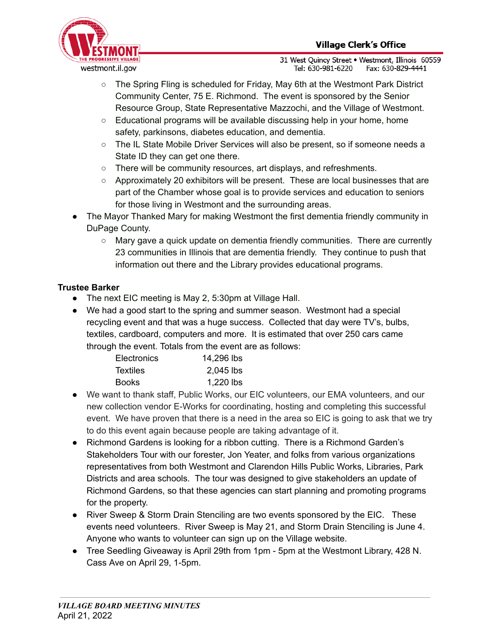

- The Spring Fling is scheduled for Friday, May 6th at the Westmont Park District Community Center, 75 E. Richmond. The event is sponsored by the Senior Resource Group, State Representative Mazzochi, and the Village of Westmont.
- $\circ$  Educational programs will be available discussing help in your home, home safety, parkinsons, diabetes education, and dementia.
- The IL State Mobile Driver Services will also be present, so if someone needs a State ID they can get one there.
- There will be community resources, art displays, and refreshments.
- Approximately 20 exhibitors will be present. These are local businesses that are part of the Chamber whose goal is to provide services and education to seniors for those living in Westmont and the surrounding areas.
- The Mayor Thanked Mary for making Westmont the first dementia friendly community in DuPage County.
	- Mary gave a quick update on dementia friendly communities. There are currently 23 communities in Illinois that are dementia friendly. They continue to push that information out there and the Library provides educational programs.

# **Trustee Barker**

- The next EIC meeting is May 2, 5:30pm at Village Hall.
- We had a good start to the spring and summer season. Westmont had a special recycling event and that was a huge success. Collected that day were TV's, bulbs, textiles, cardboard, computers and more. It is estimated that over 250 cars came through the event. Totals from the event are as follows:

| Electronics     | 14,296 lbs  |
|-----------------|-------------|
| <b>Textiles</b> | $2,045$ lbs |
| <b>Books</b>    | 1,220 lbs   |

- We want to thank staff, Public Works, our EIC volunteers, our EMA volunteers, and our new collection vendor E-Works for coordinating, hosting and completing this successful event. We have proven that there is a need in the area so EIC is going to ask that we try to do this event again because people are taking advantage of it.
- Richmond Gardens is looking for a ribbon cutting. There is a Richmond Garden's Stakeholders Tour with our forester, Jon Yeater, and folks from various organizations representatives from both Westmont and Clarendon Hills Public Works, Libraries, Park Districts and area schools. The tour was designed to give stakeholders an update of Richmond Gardens, so that these agencies can start planning and promoting programs for the property.
- River Sweep & Storm Drain Stenciling are two events sponsored by the EIC. These events need volunteers. River Sweep is May 21, and Storm Drain Stenciling is June 4. Anyone who wants to volunteer can sign up on the Village website.
- Tree Seedling Giveaway is April 29th from 1pm 5pm at the Westmont Library, 428 N. Cass Ave on April 29, 1-5pm.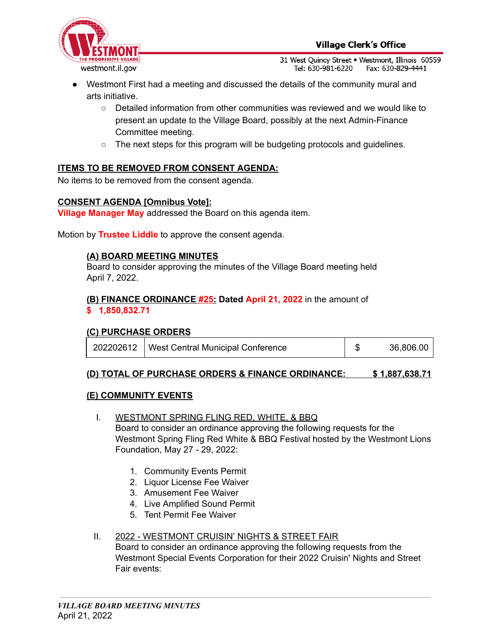

- Westmont First had a meeting and discussed the details of the community mural and arts initiative.
	- Detailed information from other communities was reviewed and we would like to present an update to the Village Board, possibly at the next Admin-Finance Committee meeting.
	- $\circ$  The next steps for this program will be budgeting protocols and guidelines.

# **ITEMS TO BE REMOVED FROM CONSENT AGENDA:**

No items to be removed from the consent agenda.

#### **CONSENT AGENDA [Omnibus Vote]:**

**Village Manager May** addressed the Board on this agenda item.

Motion by **Trustee Liddle** to approve the consent agenda.

#### **(A) BOARD MEETING MINUTES**

Board to consider approving the minutes of the Village Board meeting held April 7, 2022.

#### **(B) FINANCE ORDINANCE #25: Dated April 21, 2022** in the amount of **\$ 1,850,832.71**

### **(C) PURCHASE ORDERS**

|  | 202202612   West Central Municipal Conference |  | 36,806.00 |
|--|-----------------------------------------------|--|-----------|
|--|-----------------------------------------------|--|-----------|

#### **(D) TOTAL OF PURCHASE ORDERS & FINANCE ORDINANCE: \$ 1,887,638.71**

#### **(E) COMMUNITY EVENTS**

- I. WESTMONT SPRING FLING RED, WHITE, & BBQ Board to consider an ordinance approving the following requests for the Westmont Spring Fling Red White & BBQ Festival hosted by the Westmont Lions Foundation, May 27 - 29, 2022:
	- 1. Community Events Permit
	- 2. Liquor License Fee Waiver
	- 3. Amusement Fee Waiver
	- 4. Live Amplified Sound Permit
	- 5. Tent Permit Fee Waiver

#### II. 2022 - WESTMONT CRUISIN' NIGHTS & STREET FAIR

Board to consider an ordinance approving the following requests from the Westmont Special Events Corporation for their 2022 Cruisin' Nights and Street Fair events: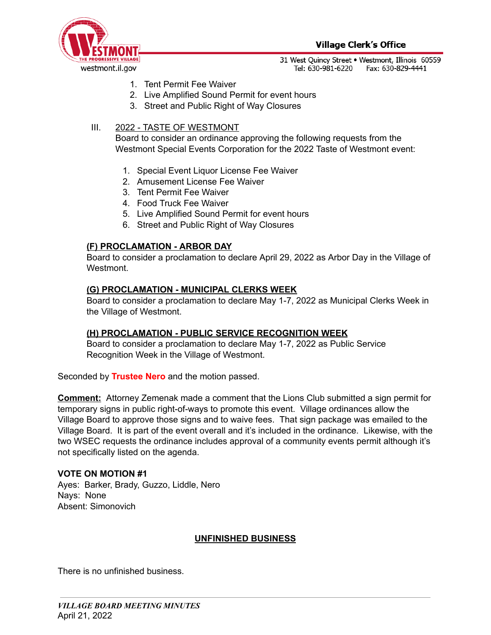

- 1. Tent Permit Fee Waiver
- 2. Live Amplified Sound Permit for event hours
- 3. Street and Public Right of Way Closures

# III. 2022 - TASTE OF WESTMONT

Board to consider an ordinance approving the following requests from the Westmont Special Events Corporation for the 2022 Taste of Westmont event:

- 1. Special Event Liquor License Fee Waiver
- 2. Amusement License Fee Waiver
- 3. Tent Permit Fee Waiver
- 4. Food Truck Fee Waiver
- 5. Live Amplified Sound Permit for event hours
- 6. Street and Public Right of Way Closures

# **(F) PROCLAMATION - ARBOR DAY**

Board to consider a proclamation to declare April 29, 2022 as Arbor Day in the Village of Westmont.

### **(G) PROCLAMATION - MUNICIPAL CLERKS WEEK**

Board to consider a proclamation to declare May 1-7, 2022 as Municipal Clerks Week in the Village of Westmont.

### **(H) PROCLAMATION - PUBLIC SERVICE RECOGNITION WEEK**

Board to consider a proclamation to declare May 1-7, 2022 as Public Service Recognition Week in the Village of Westmont.

Seconded by **Trustee Nero** and the motion passed.

**Comment:** Attorney Zemenak made a comment that the Lions Club submitted a sign permit for temporary signs in public right-of-ways to promote this event. Village ordinances allow the Village Board to approve those signs and to waive fees. That sign package was emailed to the Village Board. It is part of the event overall and it's included in the ordinance. Likewise, with the two WSEC requests the ordinance includes approval of a community events permit although it's not specifically listed on the agenda.

### **VOTE ON MOTION #1**

Ayes: Barker, Brady, Guzzo, Liddle, Nero Nays: None Absent: Simonovich

# **UNFINISHED BUSINESS**

There is no unfinished business.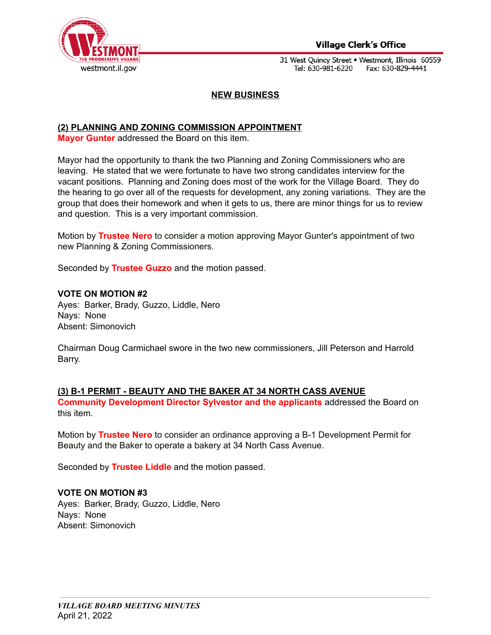

### **Village Clerk's Office**

31 West Quincy Street . Westmont, Illinois 60559 Tel: 630-981-6220 Fax: 630-829-4441

#### **NEW BUSINESS**

#### **(2) PLANNING AND ZONING COMMISSION APPOINTMENT**

**Mayor Gunter** addressed the Board on this item.

Mayor had the opportunity to thank the two Planning and Zoning Commissioners who are leaving. He stated that we were fortunate to have two strong candidates interview for the vacant positions. Planning and Zoning does most of the work for the Village Board. They do the hearing to go over all of the requests for development, any zoning variations. They are the group that does their homework and when it gets to us, there are minor things for us to review and question. This is a very important commission.

Motion by **Trustee Nero** to consider a motion approving Mayor Gunter's appointment of two new Planning & Zoning Commissioners.

Seconded by **Trustee Guzzo** and the motion passed.

#### **VOTE ON MOTION #2**

Ayes: Barker, Brady, Guzzo, Liddle, Nero Nays: None Absent: Simonovich

Chairman Doug Carmichael swore in the two new commissioners, Jill Peterson and Harrold Barry.

#### **(3) B-1 PERMIT - BEAUTY AND THE BAKER AT 34 NORTH CASS AVENUE**

**Community Development Director Sylvestor and the applicants** addressed the Board on this item.

Motion by **Trustee Nero** to consider an ordinance approving a B-1 Development Permit for Beauty and the Baker to operate a bakery at 34 North Cass Avenue.

Seconded by **Trustee Liddle** and the motion passed.

#### **VOTE ON MOTION #3**

Ayes: Barker, Brady, Guzzo, Liddle, Nero Nays: None Absent: Simonovich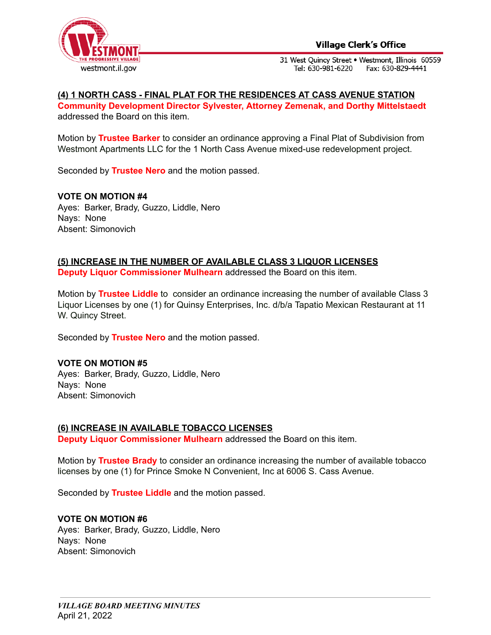

# **(4) 1 NORTH CASS - FINAL PLAT FOR THE RESIDENCES AT CASS AVENUE STATION**

**Community Development Director Sylvester, Attorney Zemenak, and Dorthy Mittelstaedt** addressed the Board on this item.

Motion by **Trustee Barker** to consider an ordinance approving a Final Plat of Subdivision from Westmont Apartments LLC for the 1 North Cass Avenue mixed-use redevelopment project.

Seconded by **Trustee Nero** and the motion passed.

**VOTE ON MOTION #4** Ayes: Barker, Brady, Guzzo, Liddle, Nero Nays: None Absent: Simonovich

### **(5) INCREASE IN THE NUMBER OF AVAILABLE CLASS 3 LIQUOR LICENSES**

**Deputy Liquor Commissioner Mulhearn** addressed the Board on this item.

Motion by **Trustee Liddle** to consider an ordinance increasing the number of available Class 3 Liquor Licenses by one (1) for Quinsy Enterprises, Inc. d/b/a Tapatio Mexican Restaurant at 11 W. Quincy Street.

Seconded by **Trustee Nero** and the motion passed.

#### **VOTE ON MOTION #5**

Ayes: Barker, Brady, Guzzo, Liddle, Nero Nays: None Absent: Simonovich

#### **(6) INCREASE IN AVAILABLE TOBACCO LICENSES**

**Deputy Liquor Commissioner Mulhearn** addressed the Board on this item.

Motion by **Trustee Brady** to consider an ordinance increasing the number of available tobacco licenses by one (1) for Prince Smoke N Convenient, Inc at 6006 S. Cass Avenue.

Seconded by **Trustee Liddle** and the motion passed.

#### **VOTE ON MOTION #6**

Ayes: Barker, Brady, Guzzo, Liddle, Nero Nays: None Absent: Simonovich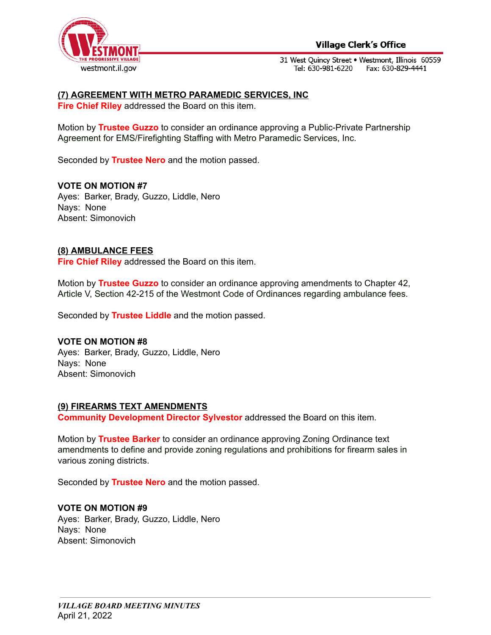

### **Village Clerk's Office**

31 West Quincy Street . Westmont, Illinois 60559 Tel: 630-981-6220 Fax: 630-829-4441

#### **(7) AGREEMENT WITH METRO PARAMEDIC SERVICES, INC**

**Fire Chief Riley** addressed the Board on this item.

Motion by **Trustee Guzzo** to consider an ordinance approving a Public-Private Partnership Agreement for EMS/Firefighting Staffing with Metro Paramedic Services, Inc.

Seconded by **Trustee Nero** and the motion passed.

#### **VOTE ON MOTION #7**

Ayes: Barker, Brady, Guzzo, Liddle, Nero Nays: None Absent: Simonovich

#### **(8) AMBULANCE FEES**

**Fire Chief Riley** addressed the Board on this item.

Motion by **Trustee Guzzo** to consider an ordinance approving amendments to Chapter 42, Article V, Section 42-215 of the Westmont Code of Ordinances regarding ambulance fees.

Seconded by **Trustee Liddle** and the motion passed.

#### **VOTE ON MOTION #8**

Ayes: Barker, Brady, Guzzo, Liddle, Nero Nays: None Absent: Simonovich

#### **(9) FIREARMS TEXT AMENDMENTS**

**Community Development Director Sylvestor** addressed the Board on this item.

Motion by **Trustee Barker** to consider an ordinance approving Zoning Ordinance text amendments to define and provide zoning regulations and prohibitions for firearm sales in various zoning districts.

Seconded by **Trustee Nero** and the motion passed.

#### **VOTE ON MOTION #9**

Ayes: Barker, Brady, Guzzo, Liddle, Nero Nays: None Absent: Simonovich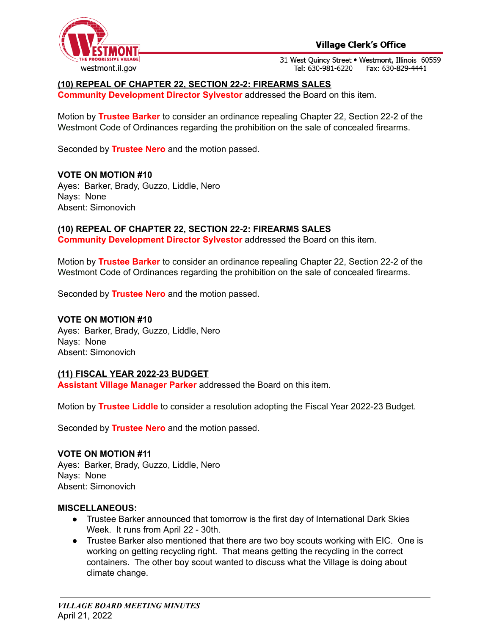



# **(10) REPEAL OF CHAPTER 22, SECTION 22-2: FIREARMS SALES**

**Community Development Director Sylvestor** addressed the Board on this item.

Motion by **Trustee Barker** to consider an ordinance repealing Chapter 22, Section 22-2 of the Westmont Code of Ordinances regarding the prohibition on the sale of concealed firearms.

Seconded by **Trustee Nero** and the motion passed.

#### **VOTE ON MOTION #10**

Ayes: Barker, Brady, Guzzo, Liddle, Nero Nays: None Absent: Simonovich

#### **(10) REPEAL OF CHAPTER 22, SECTION 22-2: FIREARMS SALES**

**Community Development Director Sylvestor** addressed the Board on this item.

Motion by **Trustee Barker** to consider an ordinance repealing Chapter 22, Section 22-2 of the Westmont Code of Ordinances regarding the prohibition on the sale of concealed firearms.

Seconded by **Trustee Nero** and the motion passed.

#### **VOTE ON MOTION #10**

Ayes: Barker, Brady, Guzzo, Liddle, Nero Nays: None Absent: Simonovich

#### **(11) FISCAL YEAR 2022-23 BUDGET**

**Assistant Village Manager Parker** addressed the Board on this item.

Motion by **Trustee Liddle** to consider a resolution adopting the Fiscal Year 2022-23 Budget.

Seconded by **Trustee Nero** and the motion passed.

#### **VOTE ON MOTION #11**

Ayes: Barker, Brady, Guzzo, Liddle, Nero Nays: None Absent: Simonovich

#### **MISCELLANEOUS:**

- Trustee Barker announced that tomorrow is the first day of International Dark Skies Week. It runs from April 22 - 30th.
- Trustee Barker also mentioned that there are two boy scouts working with EIC. One is working on getting recycling right. That means getting the recycling in the correct containers. The other boy scout wanted to discuss what the Village is doing about climate change.